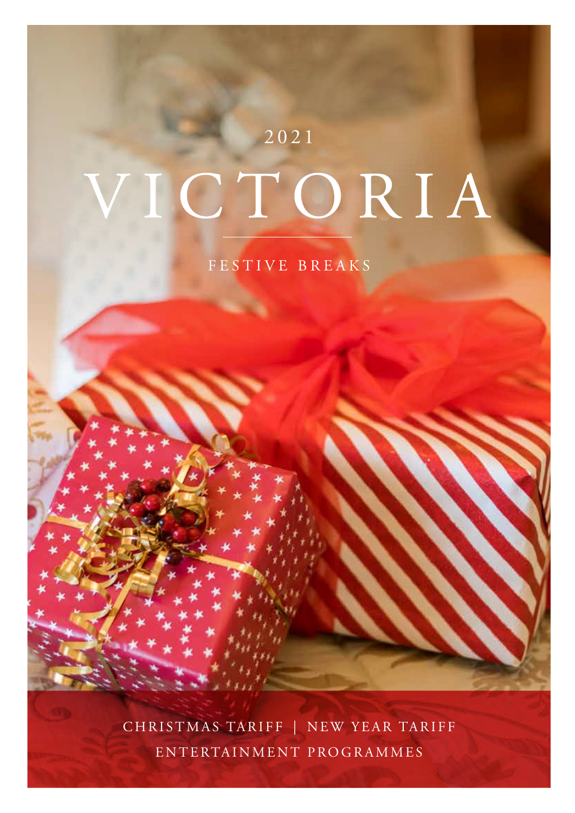# 2021 CTORIA

FESTIVE BREAKS

CHRISTMAS TARIFF | NEW YEAR TARIFF ENTERTAINMENT PROGRAMMES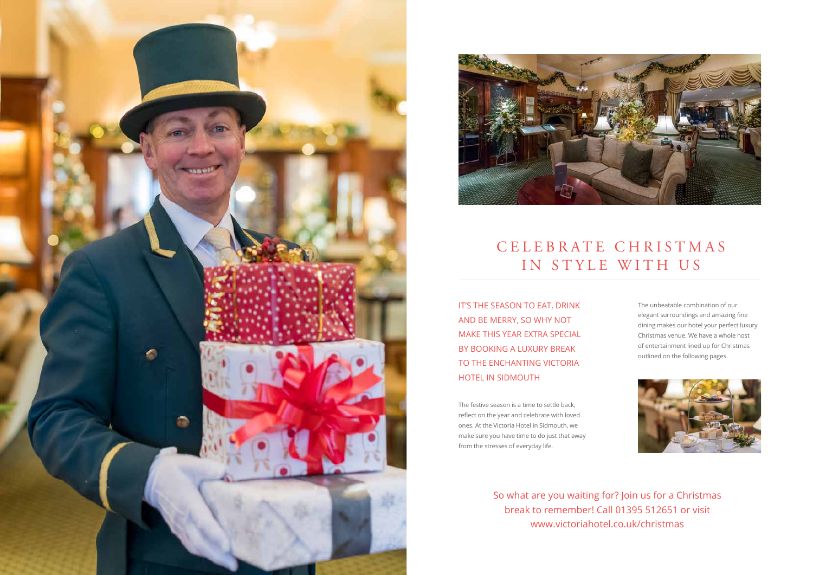



## C E L E B R A T E C H R I S T M A S IN STYLE WITH US

The festive season is a time to settle back, reflect on the year and celebrate with loved ones. At the Victoria Hotel in Sidmouth, we make sure you have time to do just that away from the stresses of everyday life.

IT'S THE SEASON TO EAT, DRINK AND BE MERRY, SO WHY NOT MAKE THIS YEAR EXTRA SPECIAL BY BOOKING A LUXURY BREAK TO THE ENCHANTING VICTORIA HOTEL IN SIDMOUTH

> So what are you waiting for? Join us for a Christmas break to remember! Call 01395 512651 or visit www.victoriahotel.co.uk/christmas

The unbeatable combination of our elegant surroundings and amazing fine dining makes our hotel your perfect luxury Christmas venue. We have a whole host of entertainment lined up for Christmas outlined on the following pages.

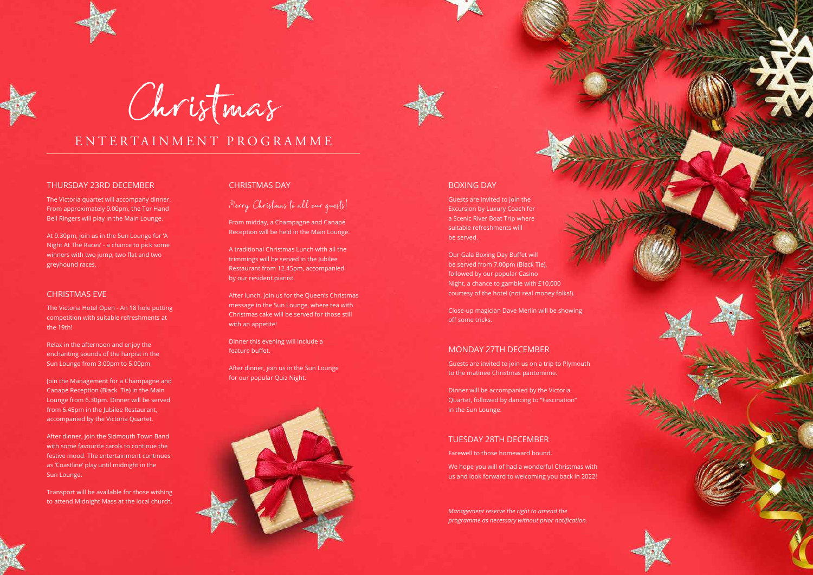#### THURSDAY 23RD DECEMBER

The Victoria quartet will accompany dinner. From approximately 9.00pm, the Tor Hand Bell Ringers will play in the Main Lounge.

At 9.30pm, join us in the Sun Lounge for 'A Night At The Races' - a chance to pick some winners with two jump, two flat and two greyhound races.

#### CHRISTMAS EVE

The Victoria Hotel Open - An 18 hole putting competition with suitable refreshments at the 19th!

Relax in the afternoon and enjoy the enchanting sounds of the harpist in the Sun Lounge from 3.00pm to 5.00pm.

Join the Management for a Champagne and Canapé Reception (Black Tie) in the Main Lounge from 6.30pm. Dinner will be served from 6.45pm in the Jubilee Restaurant, accompanied by the Victoria Quartet.

After dinner, join the Sidmouth Town Band with some favourite carols to continue the festive mood. The entertainment continues as 'Coastline' play until midnight in the Sun Lounge.

Transport will be available for those wishing to attend Midnight Mass at the local church.

### CHRISTMAS DAY

Merry Christmas to all our guests!

From midday, a Champagne and Canapé Reception will be held in the Main Lounge.

A traditional Christmas Lunch with all the trimmings will be served in the Jubilee Restaurant from 12.45pm, accompanied by our resident pianist.

After lunch, join us for the Queen's Christmas message in the Sun Lounge, where tea with Christmas cake will be served for those still with an appetite!

Dinner this evening will include a feature buffet.

After dinner, join us in the Sun Lounge for our popular Quiz Night.





Christmas

### ENTERTAINMENT PROGRAMME

#### BOXING DAY

Guests are invited to join the Excursion by Luxury Coach for a Scenic River Boat Trip where suitable refreshments will be served.

Our Gala Boxing Day Buffet will be served from 7.00pm (Black Tie), followed by our popular Casino Night, a chance to gamble with £10,000 courtesy of the hotel (not real money folks!).

Close-up magician Dave Merlin will be showing off some tricks.

### MONDAY 27TH DECEMBER

Guests are invited to join us on a trip to Plymouth to the matinee Christmas pantomime.

Dinner will be accompanied by the Victoria Quartet, followed by dancing to "Fascination" in the Sun Lounge.

#### TUESDAY 28TH DECEMBER

Farewell to those homeward bound.

We hope you will of had a wonderful Christmas with us and look forward to welcoming you back in 2022!

*Management reserve the right to amend the programme as necessary without prior notification.*

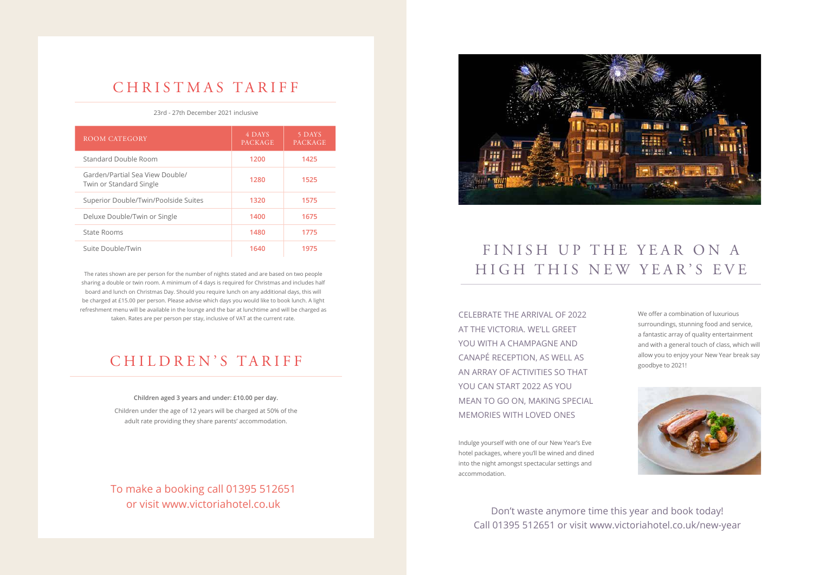| ROOM CATEGORY                                              | 4 DAYS<br><b>PACKAGE</b> | 5 DAYS<br><b>PACKAGE</b> |
|------------------------------------------------------------|--------------------------|--------------------------|
| Standard Double Room                                       | 1200                     | 1425                     |
| Garden/Partial Sea View Double/<br>Twin or Standard Single | 1280                     | 1525                     |
| Superior Double/Twin/Poolside Suites                       | 1320                     | 1575                     |
| Deluxe Double/Twin or Single                               | 1400                     | 1675                     |
| State Rooms                                                | 1480                     | 1775                     |
| Suite Double/Twin                                          | 1640                     | 1975                     |

### CHRISTMAS TARIFF

### CHILDREN'S TARIFF

#### 23rd - 27th December 2021 inclusive

## FINISH UP THE YEAR ON A HIGH THIS NEW YEAR'S EVE

The rates shown are per person for the number of nights stated and are based on two people sharing a double or twin room. A minimum of 4 days is required for Christmas and includes half board and lunch on Christmas Day. Should you require lunch on any additional days, this will be charged at £15.00 per person. Please advise which days you would like to book lunch. A light refreshment menu will be available in the lounge and the bar at lunchtime and will be charged as taken. Rates are per person per stay, inclusive of VAT at the current rate.

> **Children aged 3 years and under: £10.00 per day.** Children under the age of 12 years will be charged at 50% of the adult rate providing they share parents' accommodation.

To make a booking call 01395 512651 or visit www.victoriahotel.co.uk



CELEBRATE THE ARRIVAL OF 2022 AT THE VICTORIA. WE'LL GREET YOU WITH A CHAMPAGNE AND CANAPÉ RECEPTION, AS WELL AS AN ARRAY OF ACTIVITIES SO THAT YOU CAN START 2022 AS YOU MEAN TO GO ON, MAKING SPECIAL MEMORIES WITH LOVED ONES

> Don't waste anymore time this year and book today! Call 01395 512651 or visit www.victoriahotel.co.uk/new-year

Indulge yourself with one of our New Year's Eve hotel packages, where you'll be wined and dined into the night amongst spectacular settings and accommodation.

We offer a combination of luxurious surroundings, stunning food and service, a fantastic array of quality entertainment and with a general touch of class, which will allow you to enjoy your New Year break say goodbye to 2021!

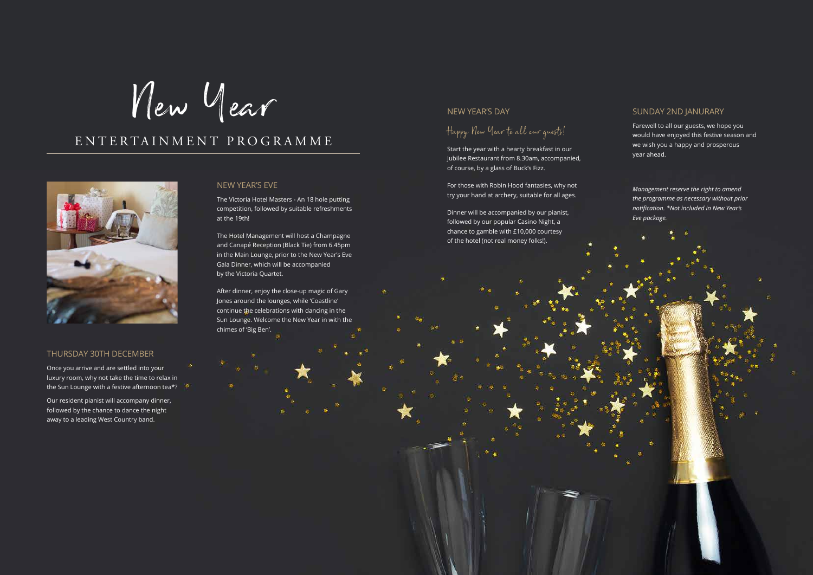### THURSDAY 30TH DECEMBER

Once you arrive and are settled into your luxury room, why not take the time to relax in the Sun Lounge with a festive afternoon tea\*?

Our resident pianist will accompany dinner, followed by the chance to dance the night away to a leading West Country band.

#### NEW YEAR'S EVE

The Victoria Hotel Masters - An 18 hole putting competition, followed by suitable refreshments at the 19th!

The Hotel Management will host a Champagne and Canapé Reception (Black Tie) from 6.45pm in the Main Lounge, prior to the New Year's Eve Gala Dinner, which will be accompanied by the Victoria Quartet.

After dinner, enjoy the close-up magic of Gary Jones around the lounges, while 'Coastline' continue the celebrations with dancing in the Sun Lounge. Welcome the New Year in with the chimes of 'Big Ben'.

New Year

### ENTERTAINMENT PROGRAMME



### NEW YEAR'S DAY

Happy New Year to all our guests!

Start the year with a hearty breakfast in our Jubilee Restaurant from 8.30am, accompanied, of course, by a glass of Buck's Fizz.

For those with Robin Hood fantasies, why not try your hand at archery, suitable for all ages.

Dinner will be accompanied by our pianist, followed by our popular Casino Night, a chance to gamble with £10,000 courtesy of the hotel (not real money folks!).

### SUNDAY 2ND JANURARY

Farewell to all our guests, we hope you would have enjoyed this festive season and we wish you a happy and prosperous year ahead.

*Management reserve the right to amend the programme as necessary without prior notification. \*Not included in New Year's Eve package.*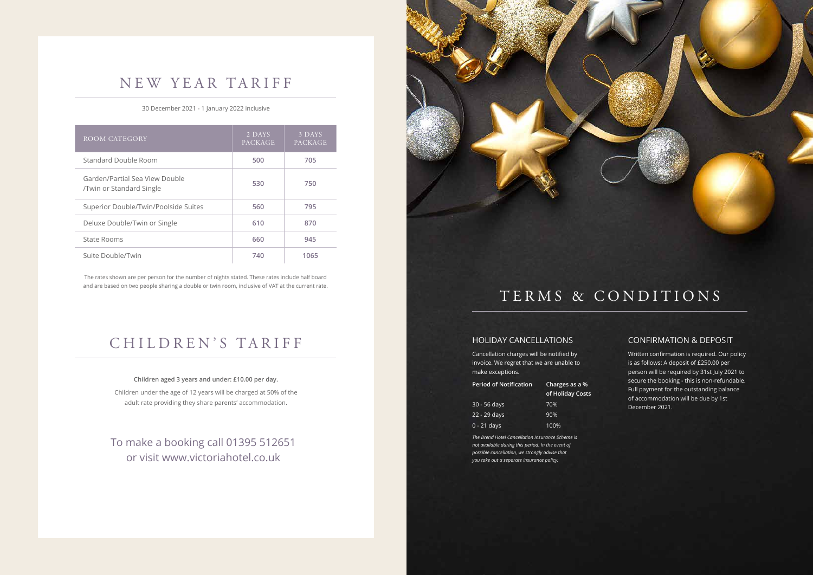### HOLIDAY CANCELLATIONS

Cancellation charges will be notified by invoice. We regret that we are unable to make exceptions.

| <b>Period of Notification</b> | Charges as a %<br>of Holiday Costs |  |
|-------------------------------|------------------------------------|--|
| $30 - 56$ days                | 70%                                |  |
| 22 - 29 days                  | 90%                                |  |
| $0 - 21$ days                 | 100%                               |  |

*The Brend Hotel Cancellation Insurance Scheme is not available during this period. In the event of possible cancellation, we strongly advise that you take out a separate insurance policy.*



### NEW YEAR TARIFF



#### 30 December 2021 - 1 January 2022 inclusive

The rates shown are per person for the number of nights stated. These rates include half board and are based on two people sharing a double or twin room, inclusive of VAT at the current rate.

> To make a booking call 01395 512651 or visit www.victoriahotel.co.uk

| <b>ROOM CATEGORY</b>                                       | 2 DAYS<br><b>PACKAGE</b> | 3 DAYS<br>PACKAGE |
|------------------------------------------------------------|--------------------------|-------------------|
| <b>Standard Double Room</b>                                | 500                      | 705               |
| Garden/Partial Sea View Double<br>/Twin or Standard Single | 530                      | 750               |
| Superior Double/Twin/Poolside Suites                       | 560                      | 795               |
| Deluxe Double/Twin or Single                               | 610                      | 870               |
| State Rooms                                                | 660                      | 945               |
| Suite Double/Twin                                          | 740                      | 1065              |

### CONFIRMATION & DEPOSIT

Written confirmation is required. Our policy is as follows: A deposit of £250.00 per person will be required by 31st July 2021 to secure the booking - this is non-refundable. Full payment for the outstanding balance of accommodation will be due by 1st December 2021.

#### **Children aged 3 years and under: £10.00 per day.**

Children under the age of 12 years will be charged at 50% of the adult rate providing they share parents' accommodation.

### CHILDREN'S TARIFF